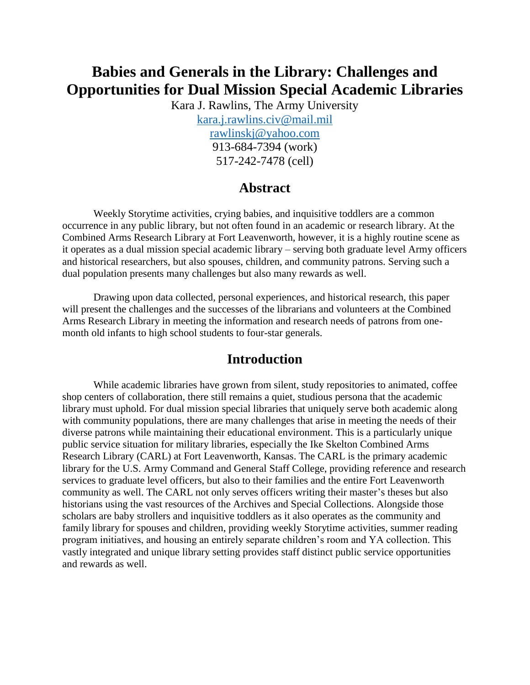# **Babies and Generals in the Library: Challenges and Opportunities for Dual Mission Special Academic Libraries**

Kara J. Rawlins, The Army University [kara.j.rawlins.civ@mail.mil](mailto:kara.j.rawlins.civ@mail.mil) [rawlinskj@yahoo.com](mailto:rawlinskj@yahoo.com) 913-684-7394 (work) 517-242-7478 (cell)

### **Abstract**

Weekly Storytime activities, crying babies, and inquisitive toddlers are a common occurrence in any public library, but not often found in an academic or research library. At the Combined Arms Research Library at Fort Leavenworth, however, it is a highly routine scene as it operates as a dual mission special academic library – serving both graduate level Army officers and historical researchers, but also spouses, children, and community patrons. Serving such a dual population presents many challenges but also many rewards as well.

Drawing upon data collected, personal experiences, and historical research, this paper will present the challenges and the successes of the librarians and volunteers at the Combined Arms Research Library in meeting the information and research needs of patrons from onemonth old infants to high school students to four-star generals.

### **Introduction**

While academic libraries have grown from silent, study repositories to animated, coffee shop centers of collaboration, there still remains a quiet, studious persona that the academic library must uphold. For dual mission special libraries that uniquely serve both academic along with community populations, there are many challenges that arise in meeting the needs of their diverse patrons while maintaining their educational environment. This is a particularly unique public service situation for military libraries, especially the Ike Skelton Combined Arms Research Library (CARL) at Fort Leavenworth, Kansas. The CARL is the primary academic library for the U.S. Army Command and General Staff College, providing reference and research services to graduate level officers, but also to their families and the entire Fort Leavenworth community as well. The CARL not only serves officers writing their master's theses but also historians using the vast resources of the Archives and Special Collections. Alongside those scholars are baby strollers and inquisitive toddlers as it also operates as the community and family library for spouses and children, providing weekly Storytime activities, summer reading program initiatives, and housing an entirely separate children's room and YA collection. This vastly integrated and unique library setting provides staff distinct public service opportunities and rewards as well.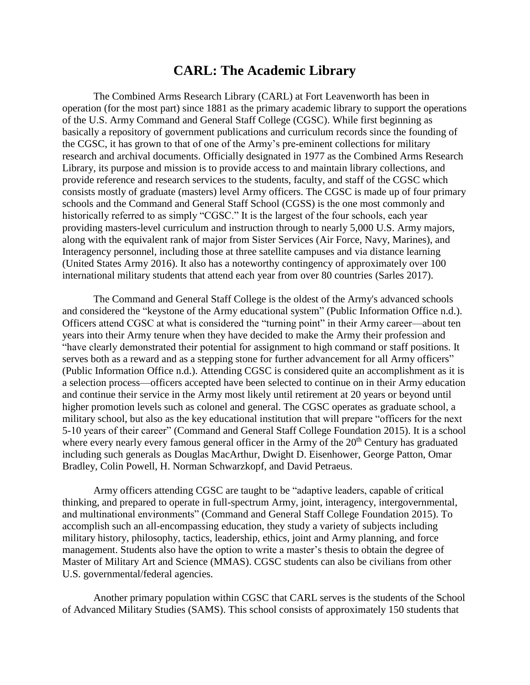## **CARL: The Academic Library**

The Combined Arms Research Library (CARL) at Fort Leavenworth has been in operation (for the most part) since 1881 as the primary academic library to support the operations of the U.S. Army Command and General Staff College (CGSC). While first beginning as basically a repository of government publications and curriculum records since the founding of the CGSC, it has grown to that of one of the Army's pre-eminent collections for military research and archival documents. Officially designated in 1977 as the Combined Arms Research Library, its purpose and mission is to provide access to and maintain library collections, and provide reference and research services to the students, faculty, and staff of the CGSC which consists mostly of graduate (masters) level Army officers. The CGSC is made up of four primary schools and the Command and General Staff School (CGSS) is the one most commonly and historically referred to as simply "CGSC." It is the largest of the four schools, each year providing masters-level curriculum and instruction through to nearly 5,000 U.S. Army majors, along with the equivalent rank of major from Sister Services (Air Force, Navy, Marines), and Interagency personnel, including those at three satellite campuses and via distance learning (United States Army 2016). It also has a noteworthy contingency of approximately over 100 international military students that attend each year from over 80 countries (Sarles 2017).

The Command and General Staff College is the oldest of the Army's advanced schools and considered the "keystone of the Army educational system" (Public Information Office n.d.). Officers attend CGSC at what is considered the "turning point" in their Army career—about ten years into their Army tenure when they have decided to make the Army their profession and "have clearly demonstrated their potential for assignment to high command or staff positions. It serves both as a reward and as a stepping stone for further advancement for all Army officers" (Public Information Office n.d.). Attending CGSC is considered quite an accomplishment as it is a selection process—officers accepted have been selected to continue on in their Army education and continue their service in the Army most likely until retirement at 20 years or beyond until higher promotion levels such as colonel and general. The CGSC operates as graduate school, a military school, but also as the key educational institution that will prepare "officers for the next 5-10 years of their career" (Command and General Staff College Foundation 2015). It is a school where every nearly every famous general officer in the Army of the 20<sup>th</sup> Century has graduated including such generals as Douglas MacArthur, Dwight D. Eisenhower, George Patton, Omar Bradley, Colin Powell, H. Norman Schwarzkopf, and David Petraeus.

Army officers attending CGSC are taught to be "adaptive leaders, capable of critical thinking, and prepared to operate in full-spectrum Army, joint, interagency, intergovernmental, and multinational environments" (Command and General Staff College Foundation 2015). To accomplish such an all-encompassing education, they study a variety of subjects including military history, philosophy, tactics, leadership, ethics, joint and Army planning, and force management. Students also have the option to write a master's thesis to obtain the degree of Master of Military Art and Science (MMAS). CGSC students can also be civilians from other U.S. governmental/federal agencies.

Another primary population within CGSC that CARL serves is the students of the School of Advanced Military Studies (SAMS). This school consists of approximately 150 students that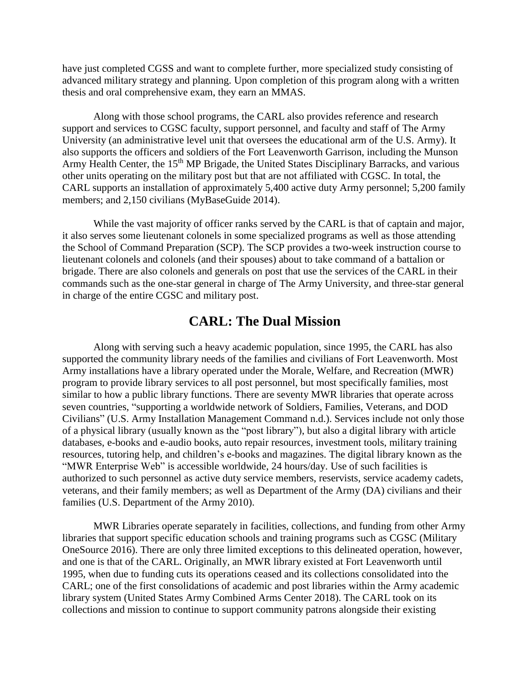have just completed CGSS and want to complete further, more specialized study consisting of advanced military strategy and planning. Upon completion of this program along with a written thesis and oral comprehensive exam, they earn an MMAS.

Along with those school programs, the CARL also provides reference and research support and services to CGSC faculty, support personnel, and faculty and staff of The Army University (an administrative level unit that oversees the educational arm of the U.S. Army). It also supports the officers and soldiers of the Fort Leavenworth Garrison, including the Munson Army Health Center, the 15<sup>th</sup> MP Brigade, the United States Disciplinary Barracks, and various other units operating on the military post but that are not affiliated with CGSC. In total, the CARL supports an installation of approximately 5,400 active duty Army personnel; 5,200 family members; and 2,150 civilians (MyBaseGuide 2014).

While the vast majority of officer ranks served by the CARL is that of captain and major, it also serves some lieutenant colonels in some specialized programs as well as those attending the School of Command Preparation (SCP). The SCP provides a two-week instruction course to lieutenant colonels and colonels (and their spouses) about to take command of a battalion or brigade. There are also colonels and generals on post that use the services of the CARL in their commands such as the one-star general in charge of The Army University, and three-star general in charge of the entire CGSC and military post.

### **CARL: The Dual Mission**

Along with serving such a heavy academic population, since 1995, the CARL has also supported the community library needs of the families and civilians of Fort Leavenworth. Most Army installations have a library operated under the Morale, Welfare, and Recreation (MWR) program to provide library services to all post personnel, but most specifically families, most similar to how a public library functions. There are seventy MWR libraries that operate across seven countries, "supporting a worldwide network of Soldiers, Families, Veterans, and DOD Civilians" (U.S. Army Installation Management Command n.d.). Services include not only those of a physical library (usually known as the "post library"), but also a digital library with article databases, e-books and e-audio books, auto repair resources, investment tools, military training resources, tutoring help, and children's e-books and magazines. The digital library known as the "MWR Enterprise Web" is accessible worldwide, 24 hours/day. Use of such facilities is authorized to such personnel as active duty service members, reservists, service academy cadets, veterans, and their family members; as well as Department of the Army (DA) civilians and their families (U.S. Department of the Army 2010).

MWR Libraries operate separately in facilities, collections, and funding from other Army libraries that support specific education schools and training programs such as CGSC (Military OneSource 2016). There are only three limited exceptions to this delineated operation, however, and one is that of the CARL. Originally, an MWR library existed at Fort Leavenworth until 1995, when due to funding cuts its operations ceased and its collections consolidated into the CARL; one of the first consolidations of academic and post libraries within the Army academic library system (United States Army Combined Arms Center 2018). The CARL took on its collections and mission to continue to support community patrons alongside their existing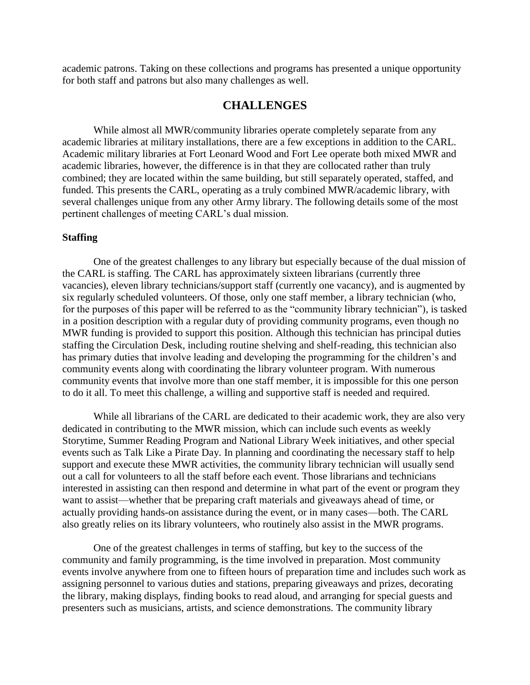academic patrons. Taking on these collections and programs has presented a unique opportunity for both staff and patrons but also many challenges as well.

### **CHALLENGES**

While almost all MWR/community libraries operate completely separate from any academic libraries at military installations, there are a few exceptions in addition to the CARL. Academic military libraries at Fort Leonard Wood and Fort Lee operate both mixed MWR and academic libraries, however, the difference is in that they are collocated rather than truly combined; they are located within the same building, but still separately operated, staffed, and funded. This presents the CARL, operating as a truly combined MWR/academic library, with several challenges unique from any other Army library. The following details some of the most pertinent challenges of meeting CARL's dual mission.

#### **Staffing**

One of the greatest challenges to any library but especially because of the dual mission of the CARL is staffing. The CARL has approximately sixteen librarians (currently three vacancies), eleven library technicians/support staff (currently one vacancy), and is augmented by six regularly scheduled volunteers. Of those, only one staff member, a library technician (who, for the purposes of this paper will be referred to as the "community library technician"), is tasked in a position description with a regular duty of providing community programs, even though no MWR funding is provided to support this position. Although this technician has principal duties staffing the Circulation Desk, including routine shelving and shelf-reading, this technician also has primary duties that involve leading and developing the programming for the children's and community events along with coordinating the library volunteer program. With numerous community events that involve more than one staff member, it is impossible for this one person to do it all. To meet this challenge, a willing and supportive staff is needed and required.

While all librarians of the CARL are dedicated to their academic work, they are also very dedicated in contributing to the MWR mission, which can include such events as weekly Storytime, Summer Reading Program and National Library Week initiatives, and other special events such as Talk Like a Pirate Day. In planning and coordinating the necessary staff to help support and execute these MWR activities, the community library technician will usually send out a call for volunteers to all the staff before each event. Those librarians and technicians interested in assisting can then respond and determine in what part of the event or program they want to assist—whether that be preparing craft materials and giveaways ahead of time, or actually providing hands-on assistance during the event, or in many cases—both. The CARL also greatly relies on its library volunteers, who routinely also assist in the MWR programs.

One of the greatest challenges in terms of staffing, but key to the success of the community and family programming, is the time involved in preparation. Most community events involve anywhere from one to fifteen hours of preparation time and includes such work as assigning personnel to various duties and stations, preparing giveaways and prizes, decorating the library, making displays, finding books to read aloud, and arranging for special guests and presenters such as musicians, artists, and science demonstrations. The community library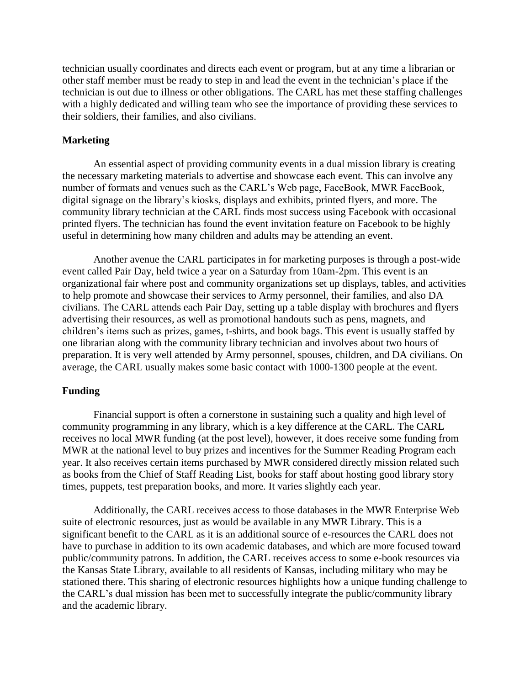technician usually coordinates and directs each event or program, but at any time a librarian or other staff member must be ready to step in and lead the event in the technician's place if the technician is out due to illness or other obligations. The CARL has met these staffing challenges with a highly dedicated and willing team who see the importance of providing these services to their soldiers, their families, and also civilians.

#### **Marketing**

An essential aspect of providing community events in a dual mission library is creating the necessary marketing materials to advertise and showcase each event. This can involve any number of formats and venues such as the CARL's Web page, FaceBook, MWR FaceBook, digital signage on the library's kiosks, displays and exhibits, printed flyers, and more. The community library technician at the CARL finds most success using Facebook with occasional printed flyers. The technician has found the event invitation feature on Facebook to be highly useful in determining how many children and adults may be attending an event.

Another avenue the CARL participates in for marketing purposes is through a post-wide event called Pair Day, held twice a year on a Saturday from 10am-2pm. This event is an organizational fair where post and community organizations set up displays, tables, and activities to help promote and showcase their services to Army personnel, their families, and also DA civilians. The CARL attends each Pair Day, setting up a table display with brochures and flyers advertising their resources, as well as promotional handouts such as pens, magnets, and children's items such as prizes, games, t-shirts, and book bags. This event is usually staffed by one librarian along with the community library technician and involves about two hours of preparation. It is very well attended by Army personnel, spouses, children, and DA civilians. On average, the CARL usually makes some basic contact with 1000-1300 people at the event.

#### **Funding**

Financial support is often a cornerstone in sustaining such a quality and high level of community programming in any library, which is a key difference at the CARL. The CARL receives no local MWR funding (at the post level), however, it does receive some funding from MWR at the national level to buy prizes and incentives for the Summer Reading Program each year. It also receives certain items purchased by MWR considered directly mission related such as books from the Chief of Staff Reading List, books for staff about hosting good library story times, puppets, test preparation books, and more. It varies slightly each year.

Additionally, the CARL receives access to those databases in the MWR Enterprise Web suite of electronic resources, just as would be available in any MWR Library. This is a significant benefit to the CARL as it is an additional source of e-resources the CARL does not have to purchase in addition to its own academic databases, and which are more focused toward public/community patrons. In addition, the CARL receives access to some e-book resources via the Kansas State Library, available to all residents of Kansas, including military who may be stationed there. This sharing of electronic resources highlights how a unique funding challenge to the CARL's dual mission has been met to successfully integrate the public/community library and the academic library.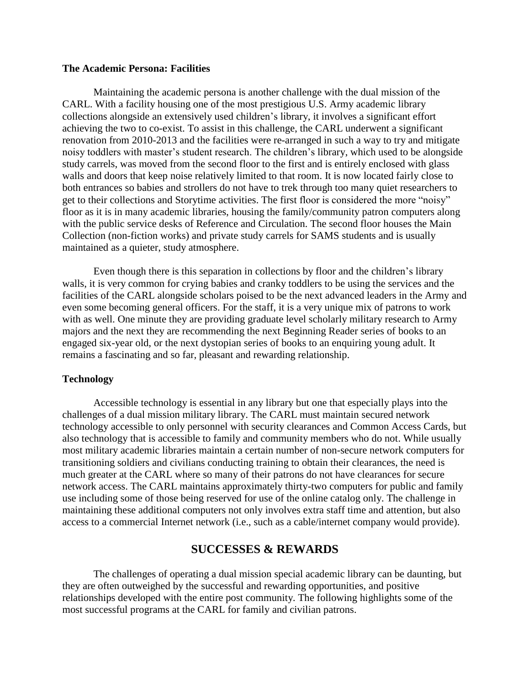#### **The Academic Persona: Facilities**

Maintaining the academic persona is another challenge with the dual mission of the CARL. With a facility housing one of the most prestigious U.S. Army academic library collections alongside an extensively used children's library, it involves a significant effort achieving the two to co-exist. To assist in this challenge, the CARL underwent a significant renovation from 2010-2013 and the facilities were re-arranged in such a way to try and mitigate noisy toddlers with master's student research. The children's library, which used to be alongside study carrels, was moved from the second floor to the first and is entirely enclosed with glass walls and doors that keep noise relatively limited to that room. It is now located fairly close to both entrances so babies and strollers do not have to trek through too many quiet researchers to get to their collections and Storytime activities. The first floor is considered the more "noisy" floor as it is in many academic libraries, housing the family/community patron computers along with the public service desks of Reference and Circulation. The second floor houses the Main Collection (non-fiction works) and private study carrels for SAMS students and is usually maintained as a quieter, study atmosphere.

Even though there is this separation in collections by floor and the children's library walls, it is very common for crying babies and cranky toddlers to be using the services and the facilities of the CARL alongside scholars poised to be the next advanced leaders in the Army and even some becoming general officers. For the staff, it is a very unique mix of patrons to work with as well. One minute they are providing graduate level scholarly military research to Army majors and the next they are recommending the next Beginning Reader series of books to an engaged six-year old, or the next dystopian series of books to an enquiring young adult. It remains a fascinating and so far, pleasant and rewarding relationship.

#### **Technology**

Accessible technology is essential in any library but one that especially plays into the challenges of a dual mission military library. The CARL must maintain secured network technology accessible to only personnel with security clearances and Common Access Cards, but also technology that is accessible to family and community members who do not. While usually most military academic libraries maintain a certain number of non-secure network computers for transitioning soldiers and civilians conducting training to obtain their clearances, the need is much greater at the CARL where so many of their patrons do not have clearances for secure network access. The CARL maintains approximately thirty-two computers for public and family use including some of those being reserved for use of the online catalog only. The challenge in maintaining these additional computers not only involves extra staff time and attention, but also access to a commercial Internet network (i.e., such as a cable/internet company would provide).

### **SUCCESSES & REWARDS**

The challenges of operating a dual mission special academic library can be daunting, but they are often outweighed by the successful and rewarding opportunities, and positive relationships developed with the entire post community. The following highlights some of the most successful programs at the CARL for family and civilian patrons.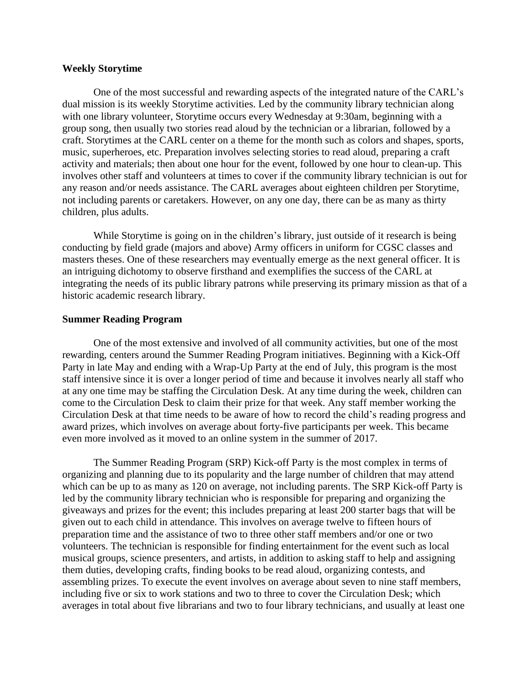#### **Weekly Storytime**

One of the most successful and rewarding aspects of the integrated nature of the CARL's dual mission is its weekly Storytime activities. Led by the community library technician along with one library volunteer, Storytime occurs every Wednesday at 9:30am, beginning with a group song, then usually two stories read aloud by the technician or a librarian, followed by a craft. Storytimes at the CARL center on a theme for the month such as colors and shapes, sports, music, superheroes, etc. Preparation involves selecting stories to read aloud, preparing a craft activity and materials; then about one hour for the event, followed by one hour to clean-up. This involves other staff and volunteers at times to cover if the community library technician is out for any reason and/or needs assistance. The CARL averages about eighteen children per Storytime, not including parents or caretakers. However, on any one day, there can be as many as thirty children, plus adults.

While Storytime is going on in the children's library, just outside of it research is being conducting by field grade (majors and above) Army officers in uniform for CGSC classes and masters theses. One of these researchers may eventually emerge as the next general officer. It is an intriguing dichotomy to observe firsthand and exemplifies the success of the CARL at integrating the needs of its public library patrons while preserving its primary mission as that of a historic academic research library.

#### **Summer Reading Program**

One of the most extensive and involved of all community activities, but one of the most rewarding, centers around the Summer Reading Program initiatives. Beginning with a Kick-Off Party in late May and ending with a Wrap-Up Party at the end of July, this program is the most staff intensive since it is over a longer period of time and because it involves nearly all staff who at any one time may be staffing the Circulation Desk. At any time during the week, children can come to the Circulation Desk to claim their prize for that week. Any staff member working the Circulation Desk at that time needs to be aware of how to record the child's reading progress and award prizes, which involves on average about forty-five participants per week. This became even more involved as it moved to an online system in the summer of 2017.

The Summer Reading Program (SRP) Kick-off Party is the most complex in terms of organizing and planning due to its popularity and the large number of children that may attend which can be up to as many as 120 on average, not including parents. The SRP Kick-off Party is led by the community library technician who is responsible for preparing and organizing the giveaways and prizes for the event; this includes preparing at least 200 starter bags that will be given out to each child in attendance. This involves on average twelve to fifteen hours of preparation time and the assistance of two to three other staff members and/or one or two volunteers. The technician is responsible for finding entertainment for the event such as local musical groups, science presenters, and artists, in addition to asking staff to help and assigning them duties, developing crafts, finding books to be read aloud, organizing contests, and assembling prizes. To execute the event involves on average about seven to nine staff members, including five or six to work stations and two to three to cover the Circulation Desk; which averages in total about five librarians and two to four library technicians, and usually at least one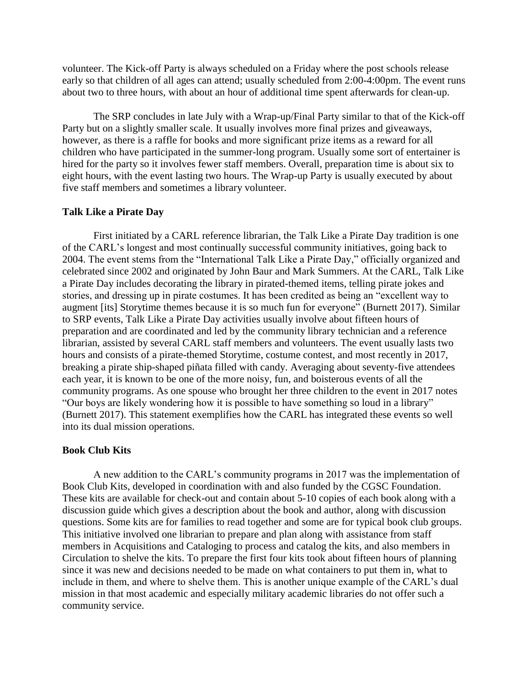volunteer. The Kick-off Party is always scheduled on a Friday where the post schools release early so that children of all ages can attend; usually scheduled from 2:00-4:00pm. The event runs about two to three hours, with about an hour of additional time spent afterwards for clean-up.

The SRP concludes in late July with a Wrap-up/Final Party similar to that of the Kick-off Party but on a slightly smaller scale. It usually involves more final prizes and giveaways, however, as there is a raffle for books and more significant prize items as a reward for all children who have participated in the summer-long program. Usually some sort of entertainer is hired for the party so it involves fewer staff members. Overall, preparation time is about six to eight hours, with the event lasting two hours. The Wrap-up Party is usually executed by about five staff members and sometimes a library volunteer.

#### **Talk Like a Pirate Day**

First initiated by a CARL reference librarian, the Talk Like a Pirate Day tradition is one of the CARL's longest and most continually successful community initiatives, going back to 2004. The event stems from the "International Talk Like a Pirate Day," officially organized and celebrated since 2002 and originated by John Baur and Mark Summers. At the CARL, Talk Like a Pirate Day includes decorating the library in pirated-themed items, telling pirate jokes and stories, and dressing up in pirate costumes. It has been credited as being an "excellent way to augment [its] Storytime themes because it is so much fun for everyone" (Burnett 2017). Similar to SRP events, Talk Like a Pirate Day activities usually involve about fifteen hours of preparation and are coordinated and led by the community library technician and a reference librarian, assisted by several CARL staff members and volunteers. The event usually lasts two hours and consists of a pirate-themed Storytime, costume contest, and most recently in 2017, breaking a pirate ship-shaped piñata filled with candy. Averaging about seventy-five attendees each year, it is known to be one of the more noisy, fun, and boisterous events of all the community programs. As one spouse who brought her three children to the event in 2017 notes "Our boys are likely wondering how it is possible to have something so loud in a library" (Burnett 2017). This statement exemplifies how the CARL has integrated these events so well into its dual mission operations.

#### **Book Club Kits**

A new addition to the CARL's community programs in 2017 was the implementation of Book Club Kits, developed in coordination with and also funded by the CGSC Foundation. These kits are available for check-out and contain about 5-10 copies of each book along with a discussion guide which gives a description about the book and author, along with discussion questions. Some kits are for families to read together and some are for typical book club groups. This initiative involved one librarian to prepare and plan along with assistance from staff members in Acquisitions and Cataloging to process and catalog the kits, and also members in Circulation to shelve the kits. To prepare the first four kits took about fifteen hours of planning since it was new and decisions needed to be made on what containers to put them in, what to include in them, and where to shelve them. This is another unique example of the CARL's dual mission in that most academic and especially military academic libraries do not offer such a community service.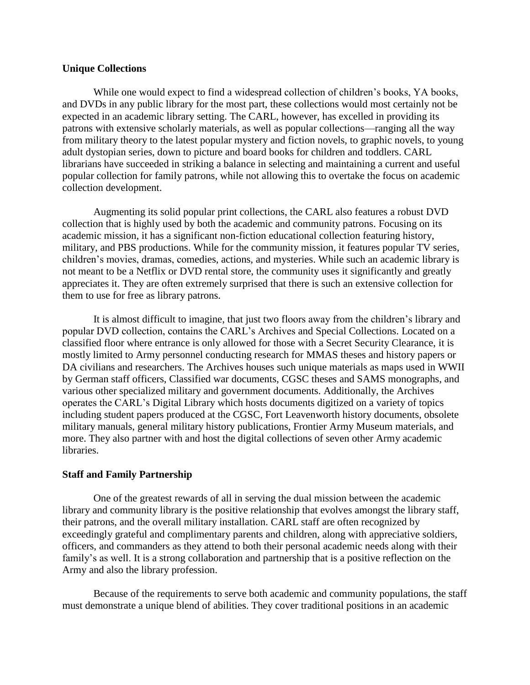#### **Unique Collections**

While one would expect to find a widespread collection of children's books, YA books, and DVDs in any public library for the most part, these collections would most certainly not be expected in an academic library setting. The CARL, however, has excelled in providing its patrons with extensive scholarly materials, as well as popular collections—ranging all the way from military theory to the latest popular mystery and fiction novels, to graphic novels, to young adult dystopian series, down to picture and board books for children and toddlers. CARL librarians have succeeded in striking a balance in selecting and maintaining a current and useful popular collection for family patrons, while not allowing this to overtake the focus on academic collection development.

Augmenting its solid popular print collections, the CARL also features a robust DVD collection that is highly used by both the academic and community patrons. Focusing on its academic mission, it has a significant non-fiction educational collection featuring history, military, and PBS productions. While for the community mission, it features popular TV series, children's movies, dramas, comedies, actions, and mysteries. While such an academic library is not meant to be a Netflix or DVD rental store, the community uses it significantly and greatly appreciates it. They are often extremely surprised that there is such an extensive collection for them to use for free as library patrons.

It is almost difficult to imagine, that just two floors away from the children's library and popular DVD collection, contains the CARL's Archives and Special Collections. Located on a classified floor where entrance is only allowed for those with a Secret Security Clearance, it is mostly limited to Army personnel conducting research for MMAS theses and history papers or DA civilians and researchers. The Archives houses such unique materials as maps used in WWII by German staff officers, Classified war documents, CGSC theses and SAMS monographs, and various other specialized military and government documents. Additionally, the Archives operates the CARL's Digital Library which hosts documents digitized on a variety of topics including student papers produced at the CGSC, Fort Leavenworth history documents, obsolete military manuals, general military history publications, Frontier Army Museum materials, and more. They also partner with and host the digital collections of seven other Army academic libraries.

#### **Staff and Family Partnership**

One of the greatest rewards of all in serving the dual mission between the academic library and community library is the positive relationship that evolves amongst the library staff, their patrons, and the overall military installation. CARL staff are often recognized by exceedingly grateful and complimentary parents and children, along with appreciative soldiers, officers, and commanders as they attend to both their personal academic needs along with their family's as well. It is a strong collaboration and partnership that is a positive reflection on the Army and also the library profession.

Because of the requirements to serve both academic and community populations, the staff must demonstrate a unique blend of abilities. They cover traditional positions in an academic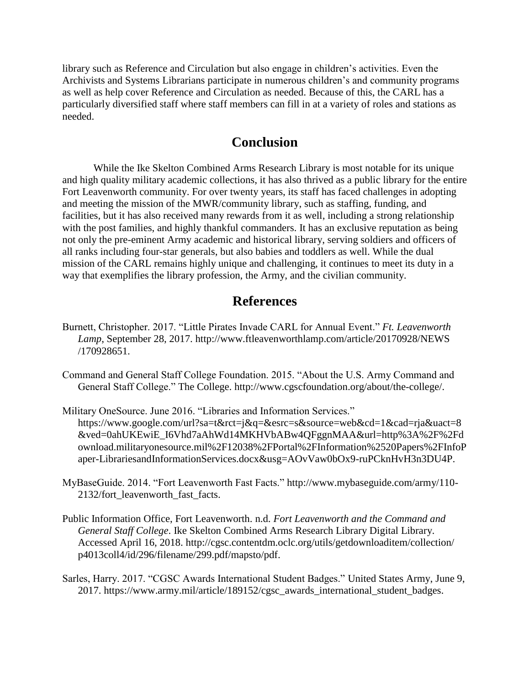library such as Reference and Circulation but also engage in children's activities. Even the Archivists and Systems Librarians participate in numerous children's and community programs as well as help cover Reference and Circulation as needed. Because of this, the CARL has a particularly diversified staff where staff members can fill in at a variety of roles and stations as needed.

## **Conclusion**

While the Ike Skelton Combined Arms Research Library is most notable for its unique and high quality military academic collections, it has also thrived as a public library for the entire Fort Leavenworth community. For over twenty years, its staff has faced challenges in adopting and meeting the mission of the MWR/community library, such as staffing, funding, and facilities, but it has also received many rewards from it as well, including a strong relationship with the post families, and highly thankful commanders. It has an exclusive reputation as being not only the pre-eminent Army academic and historical library, serving soldiers and officers of all ranks including four-star generals, but also babies and toddlers as well. While the dual mission of the CARL remains highly unique and challenging, it continues to meet its duty in a way that exemplifies the library profession, the Army, and the civilian community.

# **References**

- Burnett, Christopher. 2017. "Little Pirates Invade CARL for Annual Event." *Ft. Leavenworth Lamp*, September 28, 2017. http://www.ftleavenworthlamp.com/article/20170928/NEWS /170928651.
- Command and General Staff College Foundation. 2015. "About the U.S. Army Command and General Staff College." The College. [http://www.cgscfoundation.org/about/the-college/.](http://www.cgscfoundation.org/about/the-college/)
- Military OneSource. June 2016. "Libraries and Information Services." https://www.google.com/url?sa=t&rct=j&q=&esrc=s&source=web&cd=1&cad=rja&uact=8 &ved=0ahUKEwiE\_I6Vhd7aAhWd14MKHVbABw4QFggnMAA&url=http%3A%2F%2Fd ownload.militaryonesource.mil%2F12038%2FPortal%2FInformation%2520Papers%2FInfoP aper-LibrariesandInformationServices.docx&usg=AOvVaw0bOx9-ruPCknHvH3n3DU4P.
- MyBaseGuide. 2014. "Fort Leavenworth Fast Facts." http://www.mybaseguide.com/army/110- 2132/fort\_leavenworth\_fast\_facts.
- Public Information Office, Fort Leavenworth. n.d. *Fort Leavenworth and the Command and General Staff College*. Ike Skelton Combined Arms Research Library Digital Library. Accessed April 16, 2018. http://cgsc.contentdm.oclc.org/utils/getdownloaditem/collection/ p4013coll4/id/296/filename/299.pdf/mapsto/pdf.
- Sarles, Harry. 2017. "CGSC Awards International Student Badges." United States Army, June 9, 2017. https://www.army.mil/article/189152/cgsc\_awards\_international\_student\_badges.